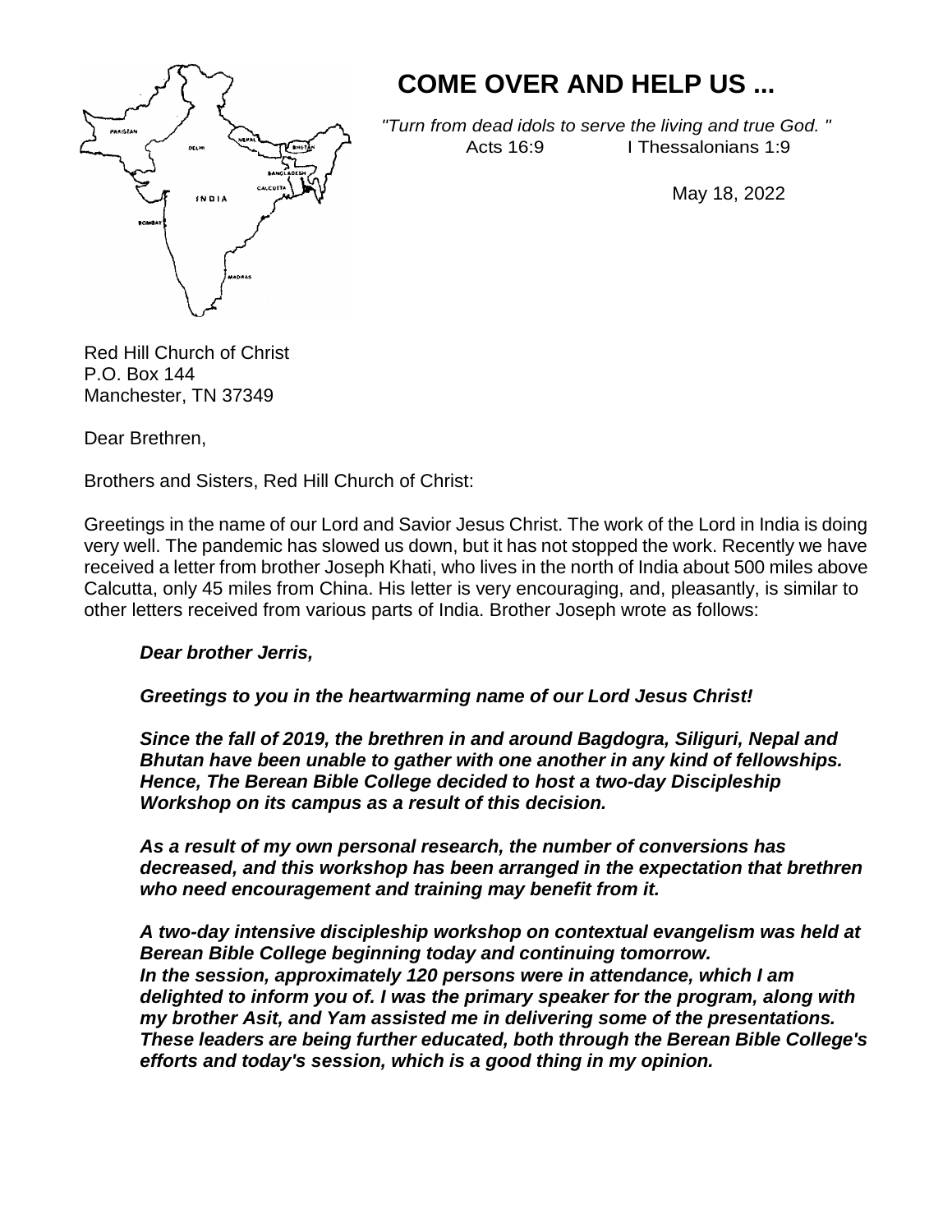

# **COME OVER AND HELP US ...**

*"Turn from dead idols to serve the living and true God. "*  Acts 16:9 I Thessalonians 1:9

May 18, 2022

Red Hill Church of Christ P.O. Box 144 Manchester, TN 37349

Dear Brethren,

Brothers and Sisters, Red Hill Church of Christ:

Greetings in the name of our Lord and Savior Jesus Christ. The work of the Lord in India is doing very well. The pandemic has slowed us down, but it has not stopped the work. Recently we have received a letter from brother Joseph Khati, who lives in the north of India about 500 miles above Calcutta, only 45 miles from China. His letter is very encouraging, and, pleasantly, is similar to other letters received from various parts of India. Brother Joseph wrote as follows:

#### *Dear brother Jerris,*

## *Greetings to you in the heartwarming name of our Lord Jesus Christ!*

*Since the fall of 2019, the brethren in and around Bagdogra, Siliguri, Nepal and Bhutan have been unable to gather with one another in any kind of fellowships. Hence, The Berean Bible College decided to host a two-day Discipleship Workshop on its campus as a result of this decision.*

*As a result of my own personal research, the number of conversions has decreased, and this workshop has been arranged in the expectation that brethren who need encouragement and training may benefit from it.*

*A two-day intensive discipleship workshop on contextual evangelism was held at Berean Bible College beginning today and continuing tomorrow. In the session, approximately 120 persons were in attendance, which I am delighted to inform you of. I was the primary speaker for the program, along with my brother Asit, and Yam assisted me in delivering some of the presentations. These leaders are being further educated, both through the Berean Bible College's efforts and today's session, which is a good thing in my opinion.*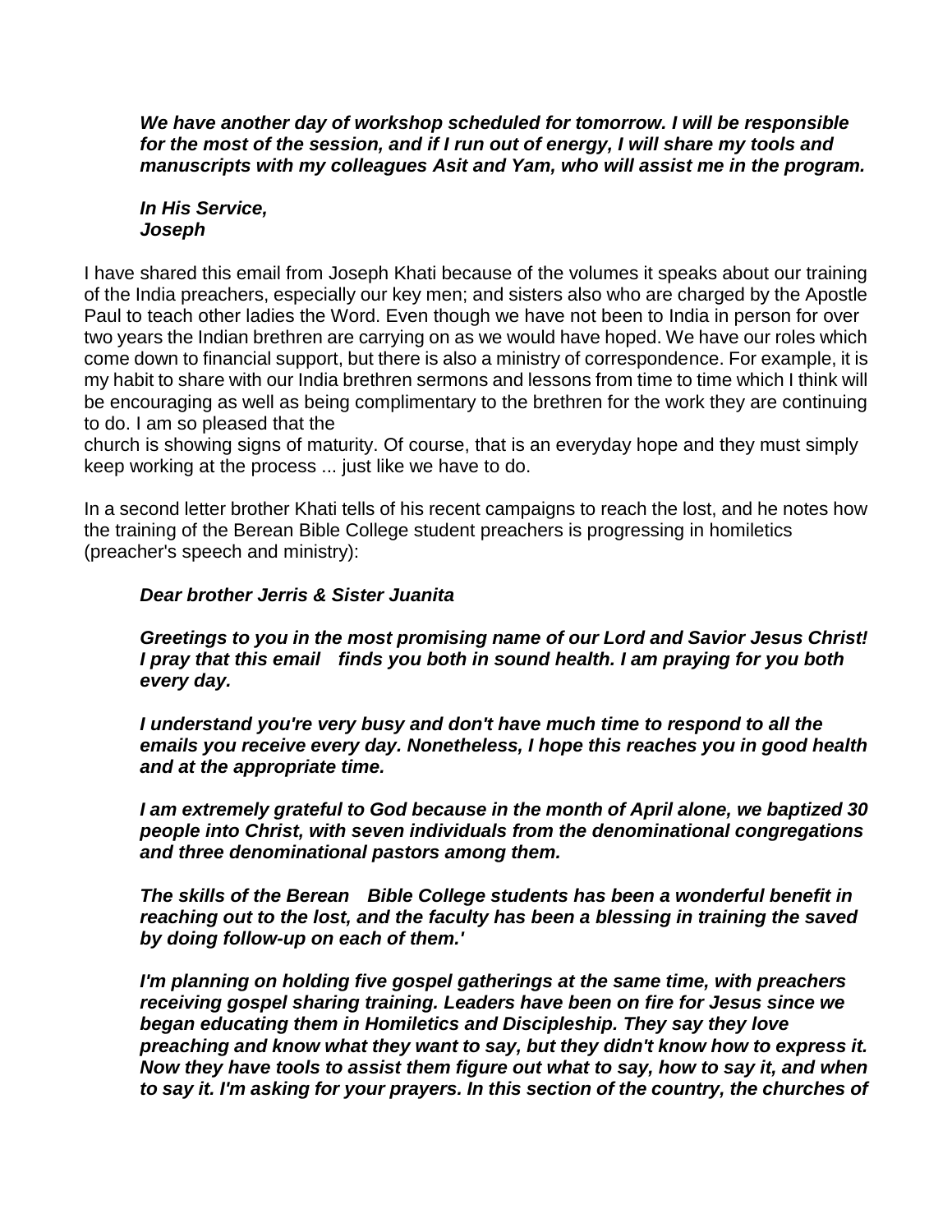*We have another day of workshop scheduled for tomorrow. I will be responsible for the most of the session, and if I run out of energy, I will share my tools and manuscripts with my colleagues Asit and Yam, who will assist me in the program.* 

#### *In His Service, Joseph*

I have shared this email from Joseph Khati because of the volumes it speaks about our training of the India preachers, especially our key men; and sisters also who are charged by the Apostle Paul to teach other ladies the Word. Even though we have not been to India in person for over two years the Indian brethren are carrying on as we would have hoped. We have our roles which come down to financial support, but there is also a ministry of correspondence. For example, it is my habit to share with our India brethren sermons and lessons from time to time which I think will be encouraging as well as being complimentary to the brethren for the work they are continuing to do. I am so pleased that the

church is showing signs of maturity. Of course, that is an everyday hope and they must simply keep working at the process ... just like we have to do.

In a second letter brother Khati tells of his recent campaigns to reach the lost, and he notes how the training of the Berean Bible College student preachers is progressing in homiletics (preacher's speech and ministry):

### *Dear brother Jerris & Sister Juanita*

*Greetings to you in the most promising name of our Lord and Savior Jesus Christ! I pray that this email finds you both in sound health. I am praying for you both every day.*

*I understand you're very busy and don't have much time to respond to all the emails you receive every day. Nonetheless, I hope this reaches you in good health and at the appropriate time.*

*I am extremely grateful to God because in the month of April alone, we baptized 30 people into Christ, with seven individuals from the denominational congregations and three denominational pastors among them.*

*The skills of the Berean Bible College students has been a wonderful benefit in reaching out to the lost, and the faculty has been a blessing in training the saved by doing follow-up on each of them.'*

*I'm planning on holding five gospel gatherings at the same time, with preachers receiving gospel sharing training. Leaders have been on fire for Jesus since we began educating them in Homiletics and Discipleship. They say they love preaching and know what they want to say, but they didn't know how to express it. Now they have tools to assist them figure out what to say, how to say it, and when to say it. I'm asking for your prayers. In this section of the country, the churches of*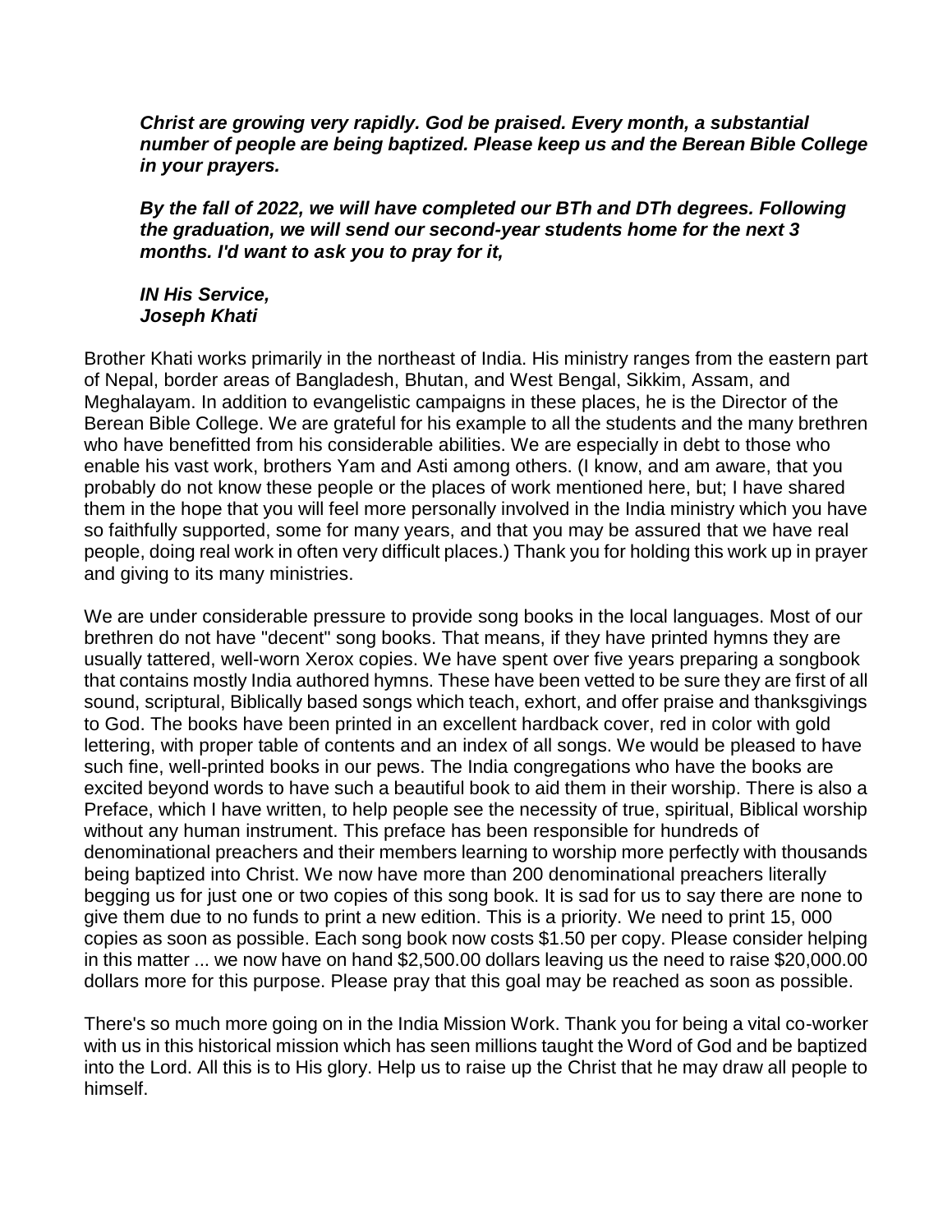*Christ are growing very rapidly. God be praised. Every month, a substantial number of people are being baptized. Please keep us and the Berean Bible College in your prayers.*

*By the fall of 2022, we will have completed our BTh and DTh degrees. Following the graduation, we will send our second-year students home for the next 3 months. I'd want to ask you to pray for it,*

#### *IN His Service, Joseph Khati*

Brother Khati works primarily in the northeast of India. His ministry ranges from the eastern part of Nepal, border areas of Bangladesh, Bhutan, and West Bengal, Sikkim, Assam, and Meghalayam. In addition to evangelistic campaigns in these places, he is the Director of the Berean Bible College. We are grateful for his example to all the students and the many brethren who have benefitted from his considerable abilities. We are especially in debt to those who enable his vast work, brothers Yam and Asti among others. (I know, and am aware, that you probably do not know these people or the places of work mentioned here, but; I have shared them in the hope that you will feel more personally involved in the India ministry which you have so faithfully supported, some for many years, and that you may be assured that we have real people, doing real work in often very difficult places.) Thank you for holding this work up in prayer and giving to its many ministries.

We are under considerable pressure to provide song books in the local languages. Most of our brethren do not have "decent" song books. That means, if they have printed hymns they are usually tattered, well-worn Xerox copies. We have spent over five years preparing a songbook that contains mostly India authored hymns. These have been vetted to be sure they are first of all sound, scriptural, Biblically based songs which teach, exhort, and offer praise and thanksgivings to God. The books have been printed in an excellent hardback cover, red in color with gold lettering, with proper table of contents and an index of all songs. We would be pleased to have such fine, well-printed books in our pews. The India congregations who have the books are excited beyond words to have such a beautiful book to aid them in their worship. There is also a Preface, which I have written, to help people see the necessity of true, spiritual, Biblical worship without any human instrument. This preface has been responsible for hundreds of denominational preachers and their members learning to worship more perfectly with thousands being baptized into Christ. We now have more than 200 denominational preachers literally begging us for just one or two copies of this song book. It is sad for us to say there are none to give them due to no funds to print a new edition. This is a priority. We need to print 15, 000 copies as soon as possible. Each song book now costs \$1.50 per copy. Please consider helping in this matter ... we now have on hand \$2,500.00 dollars leaving us the need to raise \$20,000.00 dollars more for this purpose. Please pray that this goal may be reached as soon as possible.

There's so much more going on in the India Mission Work. Thank you for being a vital co-worker with us in this historical mission which has seen millions taught the Word of God and be baptized into the Lord. All this is to His glory. Help us to raise up the Christ that he may draw all people to himself.